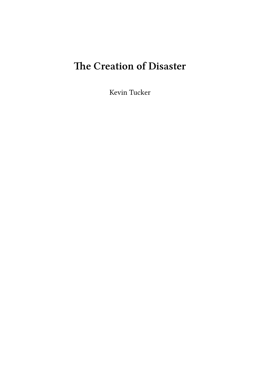# **The Creation of Disaster**

Kevin Tucker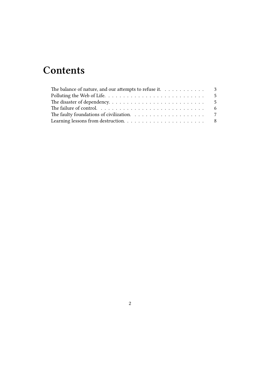## **Contents**

| The balance of nature, and our attempts to refuse it. $\dots \dots \dots \dots$ |  |
|---------------------------------------------------------------------------------|--|
|                                                                                 |  |
|                                                                                 |  |
|                                                                                 |  |
|                                                                                 |  |
|                                                                                 |  |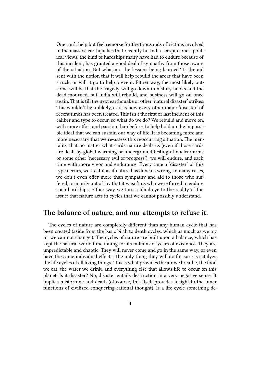One can't help but feel remorse for the thousands of victims involved in the massive earthquakes that recently hit India. Despite one's political views, the kind of hardships many have had to endure because of this incident, has granted a good deal of sympathy from those aware of the situation. But what are the lessons being learned? Is the aid sent with the notion that it will help rebuild the areas that have been struck, or will it go to help prevent. Either way, the most likely outcome will be that the tragedy will go down in history books and the dead mourned, but India will rebuild, and business will go on once again. That is till the next earthquake or other 'natural disaster' strikes. This wouldn't be unlikely, as it is how every other major 'disaster' of recent times has been treated. This isn't the first or last incident of this caliber and type to occur, so what do we do? We rebuild and move on, with more effort and passion than before, to help hold up the impossible ideal that we can sustain our way of life. It is becoming more and more necessary that we re-assess this reoccurring situation. The mentality that no matter what cards nature deals us (even if those cards are dealt by global warming or underground testing of nuclear arms or some other 'necessary evil of progress'), we will endure, and each time with more vigor and endurance. Every time a 'disaster' of this type occurs, we treat it as if nature has done us wrong. In many cases, we don't even offer more than sympathy and aid to those who suffered, primarily out of joy that it wasn't us who were forced to endure such hardships. Either way we turn a blind eye to the reality of the issue: that nature acts in cycles that we cannot possibly understand.

#### <span id="page-2-0"></span>**The balance of nature, and our attempts to refuse it.**

The cycles of nature are completely different than any human cycle that has been created (aside from the basic birth to death cycles, which as much as we try to, we can not change.). The cycles of nature are built upon a balance, which has kept the natural world functioning for its millions of years of existence. They are unpredictable and chaotic. They will never come and go in the same way, or even have the same individual effects. The only thing they will do for sure is catalyze the life cycles of all living things. This is what provides the air we breathe, the food we eat, the water we drink, and everything else that allows life to occur on this planet. Is it disaster? No, disaster entails destruction in a very negative sense. It implies misfortune and death (of course, this itself provides insight to the inner functions of civilized-conquering-rational thought). Is a life cycle something de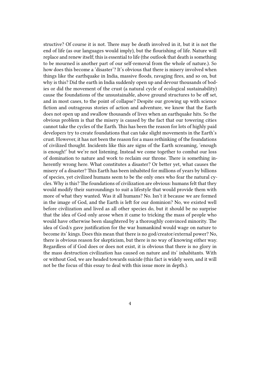structive? Of course it is not. There may be death involved in it, but it is not the end of life (as our languages would imply), but the flourishing of life. Nature will replace and renew itself; this is essential to life (the outlook that death is something to be mourned is another part of our self-removal from the whole of nature.). So how does this become a 'disaster'? It's obvious that there is misery involved when things like the earthquake in India, massive floods, ravaging fires, and so on, but why is this? Did the earth in India suddenly open up and devour thousands of bodies or did the movement of the crust (a natural cycle of ecological sustainability) cause the foundations of the unsustainable, above ground structures to be off set, and in most cases, to the point of collapse? Despite our growing up with science fiction and outrageous stories of action and adventure, we know that the Earth does not open up and swallow thousands of lives when an earthquake hits. So the obvious problem is that the misery is caused by the fact that our towering cities cannot take the cycles of the Earth. This has been the reason for lots of highly paid developers try to create foundations that can take slight movements in the Earth's crust. However, it has not been the reason for a mass rethinking of the foundations of civilized thought. Incidents like this are signs of the Earth screaming, 'enough is enough!' but we're not listening. Instead we come together to combat our loss of domination to nature and work to reclaim our throne. There is something inherently wrong here. What constitutes a disaster? Or better yet, what causes the misery of a disaster? This Earth has been inhabited for millions of years by billions of species, yet civilized humans seem to be the only ones who fear the natural cycles. Why is this? The foundations of civilization are obvious: humans felt that they would modify their surroundings to suit a lifestyle that would provide them with more of what they wanted. Was it all humans? No. Isn't it because we are formed in the image of God, and the Earth is left for our dominion? No, we existed well before civilization and lived as all other species do, but it should be no surprise that the idea of God only arose when it came to tricking the mass of people who would have otherwise been slaughtered by a thoroughly convinced minority. The idea of God/s gave justification for the war humankind would wage on nature to become its' kings. Does this mean that there is no god/creator/external power? No, there is obvious reason for skepticism, but there is no way of knowing either way. Regardless of if God does or does not exist, it is obvious that there is no glory in the mass destruction civilization has caused on nature and its' inhabitants. With or without God, we are headed towards suicide (this fact is widely seen, and it will not be the focus of this essay to deal with this issue more in depth.).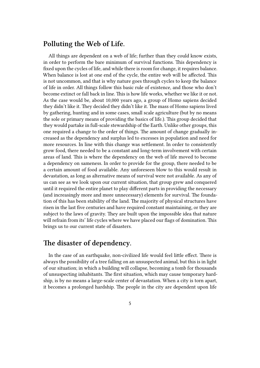#### <span id="page-4-0"></span>**Polluting the Web of Life.**

All things are dependent on a web of life; further than they could know exists, in order to perform the bare minimum of survival functions. This dependency is fixed upon the cycles of life, and while there is room for change, it requires balance. When balance is lost at one end of the cycle, the entire web will be affected. This is not uncommon, and that is why nature goes through cycles to keep the balance of life in order. All things follow this basic rule of existence, and those who don't become extinct or fall back in line. This is how life works, whether we like it or not. As the case would be, about 10,000 years ago, a group of Homo sapiens decided they didn't like it. They decided they didn't like it. The mass of Homo sapiens lived by gathering, hunting and in some cases, small scale agriculture (but by no means the sole or primary means of providing the basics of life.). This group decided that they would partake in full-scale stewardship of the Earth. Unlike other groups, this one required a change to the order of things. The amount of change gradually increased as the dependency and surplus led to excesses in population and need for more resources. In line with this change was settlement. In order to consistently grow food, there needed to be a constant and long-term involvement with certain areas of land. This is where the dependency on the web of life moved to become a dependency on sameness. In order to provide for the group, there needed to be a certain amount of food available. Any unforeseen blow to this would result in devastation, as long as alternative means of survival were not available. As any of us can see as we look upon our current situation, that group grew and conquered until it required the entire planet to play different parts in providing the necessary (and increasingly more and more unnecessary) elements for survival. The foundation of this has been stability of the land. The majority of physical structures have risen in the last five centuries and have required constant maintaining, or they are subject to the laws of gravity. They are built upon the impossible idea that nature will refrain from its' life cycles where we have placed our flags of domination. This brings us to our current state of disasters.

#### <span id="page-4-1"></span>**The disaster of dependency.**

In the case of an earthquake, non-civilized life would feel little effect. There is always the possibility of a tree falling on an unsuspected animal, but this is in light of our situation; in which a building will collapse, becoming a tomb for thousands of unsuspecting inhabitants. The first situation, which may cause temporary hardship, is by no means a large-scale center of devastation. When a city is torn apart, it becomes a prolonged hardship. The people in the city are dependent upon life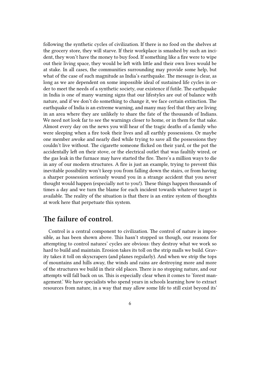following the synthetic cycles of civilization. If there is no food on the shelves at the grocery store, they will starve. If their workplace is smashed by such an incident, they won't have the money to buy food. If something like a fire were to wipe out their living space, they would be left with little and their own lives would be at stake. In all cases, the communities surrounding may provide some help, but what of the case of such magnitude as India's earthquake. The message is clear, as long as we are dependent on some impossible ideal of sustained life cycles in order to meet the needs of a synthetic society, our existence if futile. The earthquake in India is one of many warning signs that our lifestyles are out of balance with nature, and if we don't do something to change it, we face certain extinction. The earthquake of India is an extreme warning, and many may feel that they are living in an area where they are unlikely to share the fate of the thousands of Indians. We need not look far to see the warnings closer to home, or in them for that sake. Almost every day on the news you will hear of the tragic deaths of a family who were sleeping when a fire took their lives and all earthly possessions. Or maybe one member awoke and nearly died while trying to save all the possessions they couldn't live without. The cigarette someone flicked on their yard, or the pot the accidentally left on their stove, or the electrical outlet that was faultily wired, or the gas leak in the furnace may have started the fire. There's a million ways to die in any of our modern structures. A fire is just an example, trying to prevent this inevitable possibility won't keep you from falling down the stairs, or from having a sharper possession seriously wound you in a strange accident that you never thought would happen (especially not to you!). These things happen thousands of times a day and we turn the blame for each incident towards whatever target is available. The reality of the situation is that there is an entire system of thoughts at work here that perpetuate this system.

#### **The failure of control.**

Control is a central component to civilization. The control of nature is impossible, as has been shown above. This hasn't stopped us though, our reasons for attempting to control natures' cycles are obvious: they destroy what we work so hard to build and maintain. Erosion takes its toll on the strip malls we build. Gravity takes it toll on skyscrapers (and planes regularly). And when we strip the tops of mountains and hills away, the winds and rains are destroying more and more of the structures we build in their old places. There is no stopping nature, and our attempts will fall back on us. This is especially clear when it comes to 'forest management.' We have specialists who spend years in schools learning how to extract resources from nature, in a way that may allow some life to still exist beyond its'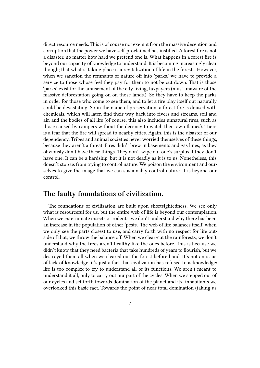direct resource needs. This is of course not exempt from the massive deception and corruption that the power we have self-proclaimed has instilled. A forest fire is not a disaster, no matter how hard we pretend one is. What happens in a forest fire is beyond our capacity of knowledge to understand. It is becoming increasingly clear though; that what is taking place is a revitalization of life in the forests. However, when we sanction the remnants of nature off into 'parks,' we have to provide a service to those whose feel they pay for them to not be cut down. That is those 'parks' exist for the amusement of the city living, taxpayers (must unaware of the massive deforestation going on on those lands.). So they have to keep the parks in order for those who come to see them, and to let a fire play itself out naturally could be devastating. So in the name of preservation, a forest fire is doused with chemicals, which will later, find their way back into rivers and streams, soil and air, and the bodies of all life (of course, this also includes unnatural fires, such as those caused by campers without the decency to watch their own flames). There is a fear that the fire will spread to nearby cities. Again, this is the disaster of our dependency. Tribes and animal societies never worried themselves of these things, because they aren't a threat. Fires didn't brew in basements and gas lines, as they obviously don't have these things. They don't wipe out one's surplus if they don't have one. It can be a hardship, but it is not deadly as it is to us. Nonetheless, this doesn't stop us from trying to control nature. We poison the environment and ourselves to give the image that we can sustainably control nature. It is beyond our control.

### **The faulty foundations of civilization.**

The foundations of civilization are built upon shortsightedness. We see only what is resourceful for us, but the entire web of life is beyond our contemplation. When we exterminate insects or rodents, we don't understand why there has been an increase in the population of other 'pests.' The web of life balances itself, when we only see the parts closest to use, and carry forth with no respect for life outside of that, we throw the balance off. When we clear-cut the rainforests, we don't understand why the trees aren't healthy like the ones before. This is because we didn't know that they need bacteria that take hundreds of years to flourish, but we destroyed them all when we cleared out the forest before hand. It's not an issue of lack of knowledge, it's just a fact that civilization has refused to acknowledge: life is too complex to try to understand all of its functions. We aren't meant to understand it all, only to carry out our part of the cycles. When we stepped out of our cycles and set forth towards domination of the planet and its' inhabitants we overlooked this basic fact. Towards the point of near total domination (taking us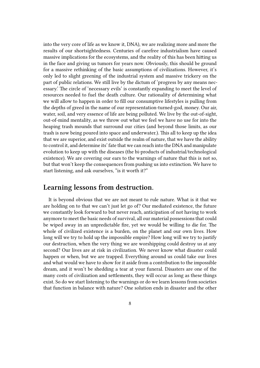into the very core of life as we know it, DNA), we are realizing more and more the results of our shortsightedness. Centuries of carefree industrialism have caused massive implications for the ecosystems, and the reality of this has been hitting us in the face and giving us tumors for years now. Obviously, this should be ground for a massive rethinking of the basic assumptions of civilizations. However, it's only led to slight greening of the industrial system and massive trickery on the part of public relations. We still live by the dictum of 'progress by any means necessary.' The circle of 'necessary evils' is constantly expanding to meet the level of resources needed to fuel the death culture. Our rationality of determining what we will allow to happen in order to fill our consumptive lifestyles is pulling from the depths of greed in the name of our representation-turned-god, money. Our air, water, soil, and very essence of life are being polluted. We live by the out-of-sight, out-of-mind mentality, as we throw out what we feel we have no use for into the heaping trash mounds that surround our cities (and beyond those limits, as our trash is now being poured into space and underwater.). This all to keep up the idea that we are superior, and exist outside the realm of nature, that we have the ability to control it, and determine its' fate that we can reach into the DNA and manipulate evolution to keep up with the diseases (the bi-products of industrial/technological existence). We are covering our ears to the warnings of nature that this is not so, but that won't keep the consequences from pushing us into extinction. We have to start listening, and ask ourselves, "is it worth it?"

#### **Learning lessons from destruction.**

It is beyond obvious that we are not meant to rule nature. What is it that we are holding on to that we can't just let go of? Our mediated existence, the future we constantly look forward to but never reach, anticipation of not having to work anymore to meet the basic needs of survival, all our material possessions that could be wiped away in an unpredictable fire, yet we would be willing to die for. The whole of civilized existence is a burden, on the planet and our own lives. How long will we try to hold up the impossible empire? How long will we try to justify our destruction, when the very thing we are worshipping could destroy us at any second? Our lives are at risk in civilization. We never know what disaster could happen or when, but we are trapped. Everything around us could take our lives and what would we have to show for it aside from a contribution to the impossible dream, and it won't be shedding a tear at your funeral. Disasters are one of the many costs of civilization and settlements, they will occur as long as these things exist. So do we start listening to the warnings or do we learn lessons from societies that function in balance with nature? One solution ends in disaster and the other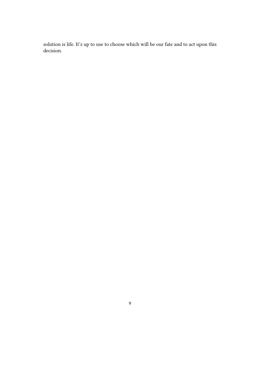solution is life. It's up to use to choose which will be our fate and to act upon this decision.